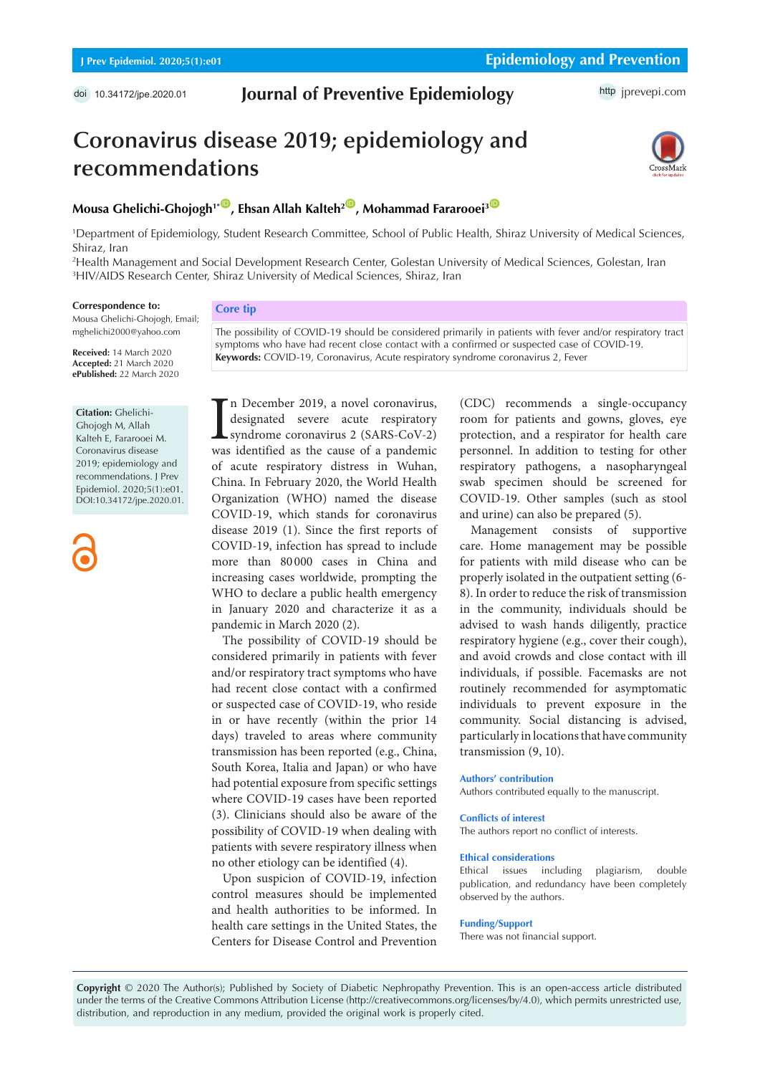# doi [10.34172/jpe.2020.01](https://doi.org/10.34172/jpe.2020.01) **Journal of Preventive Epidemiology** http [jprevepi.com](http://jprevepi.com)

# **Coronavirus disease 2019; epidemiology and recommendations**



# **Mousa Ghelichi-Ghojogh<sup>1\*</sub><sup>10</sup>**, Ehsan Allah Kalteh<sup>2<sup>(10</sup>), Mohammad Fararooei<sup>3</sub><sup>(10</sup>)</sup></sup></sup>

1 Department of Epidemiology, Student Research Committee, School of Public Health, Shiraz University of Medical Sciences, Shiraz, Iran

**Keywords:** COVID-19, Coronavirus, Acute respiratory syndrome coronavirus 2, Fever

2 Health Management and Social Development Research Center, Golestan University of Medical Sciences, Golestan, Iran 3 HIV/AIDS Research Center, Shiraz University of Medical Sciences, Shiraz, Iran

#### **Correspondence to:**

Mousa Ghelichi-Ghojogh, Email; mghelichi2000@yahoo.com

**Received:** 14 March 2020 **Accepted:** 21 March 2020 **ePublished:** 22 March 2020

#### **Citation:** Ghelichi-

Ghojogh M, Allah Kalteh E, Fararooei M. Coronavirus disease 2019; epidemiology and recommendations. J Prev Epidemiol. 2020;5(1):e01. DOI:10.34172/jpe.2020.01.

The possibility of COVID-19 should be considered primarily in patients with fever and/or respiratory tract symptoms who have had recent close contact with a confirmed or suspected case of COVID-19.

**Core tip**

In December 2019, a novel coronavirus,<br>designated severe acute respiratory<br>syndrome coronavirus 2 (SARS-CoV-2)<br>was identified as the cause of a pandemic n December 2019, a novel coronavirus, designated severe acute respiratory syndrome coronavirus 2 (SARS-CoV-2) of acute respiratory distress in Wuhan, China. In February 2020, the World Health Organization (WHO) named the disease COVID-19, which stands for coronavirus disease 2019 (1). Since the first reports of COVID-19, infection has spread to include more than 80 000 cases in China and increasing cases worldwide, prompting the WHO to declare a public health emergency in January 2020 and characterize it as a pandemic in March 2020 (2).

The possibility of COVID-19 should be considered primarily in patients with fever and/or respiratory tract symptoms who have had recent close contact with a confirmed or suspected case of COVID-19, who reside in or have recently (within the prior 14 days) traveled to areas where community transmission has been reported (e.g., China, South Korea, Italia and Japan) or who have had potential exposure from specific settings where COVID-19 cases have been reported (3). Clinicians should also be aware of the possibility of COVID-19 when dealing with patients with severe respiratory illness when no other etiology can be identified (4).

Upon suspicion of COVID-19, infection control measures should be implemented and health authorities to be informed. In health care settings in the United States, the Centers for Disease Control and Prevention (CDC) recommends a single-occupancy room for patients and gowns, gloves, eye protection, and a respirator for health care personnel. In addition to testing for other respiratory pathogens, a nasopharyngeal swab specimen should be screened for COVID-19. Other samples (such as stool and urine) can also be prepared (5).

Management consists of supportive care. Home management may be possible for patients with mild disease who can be properly isolated in the outpatient setting (6- 8). In order to reduce the risk of transmission in the community, individuals should be advised to wash hands diligently, practice respiratory hygiene (e.g., cover their cough), and avoid crowds and close contact with ill individuals, if possible. Facemasks are not routinely recommended for asymptomatic individuals to prevent exposure in the community. Social distancing is advised, particularly in locations that have community transmission (9, 10).

### **Authors' contribution**

Authors contributed equally to the manuscript.

#### **Conflicts of interest**

The authors report no conflict of interests.

## **Ethical considerations**

Ethical issues including plagiarism, double publication, and redundancy have been completely observed by the authors.

#### **Funding/Support**

There was not financial support.

**Copyright** © 2020 The Author(s); Published by Society of Diabetic Nephropathy Prevention. This is an open-access article distributed under the terms of the Creative Commons Attribution License (http://creativecommons.org/licenses/by/4.0), which permits unrestricted use, distribution, and reproduction in any medium, provided the original work is properly cited.